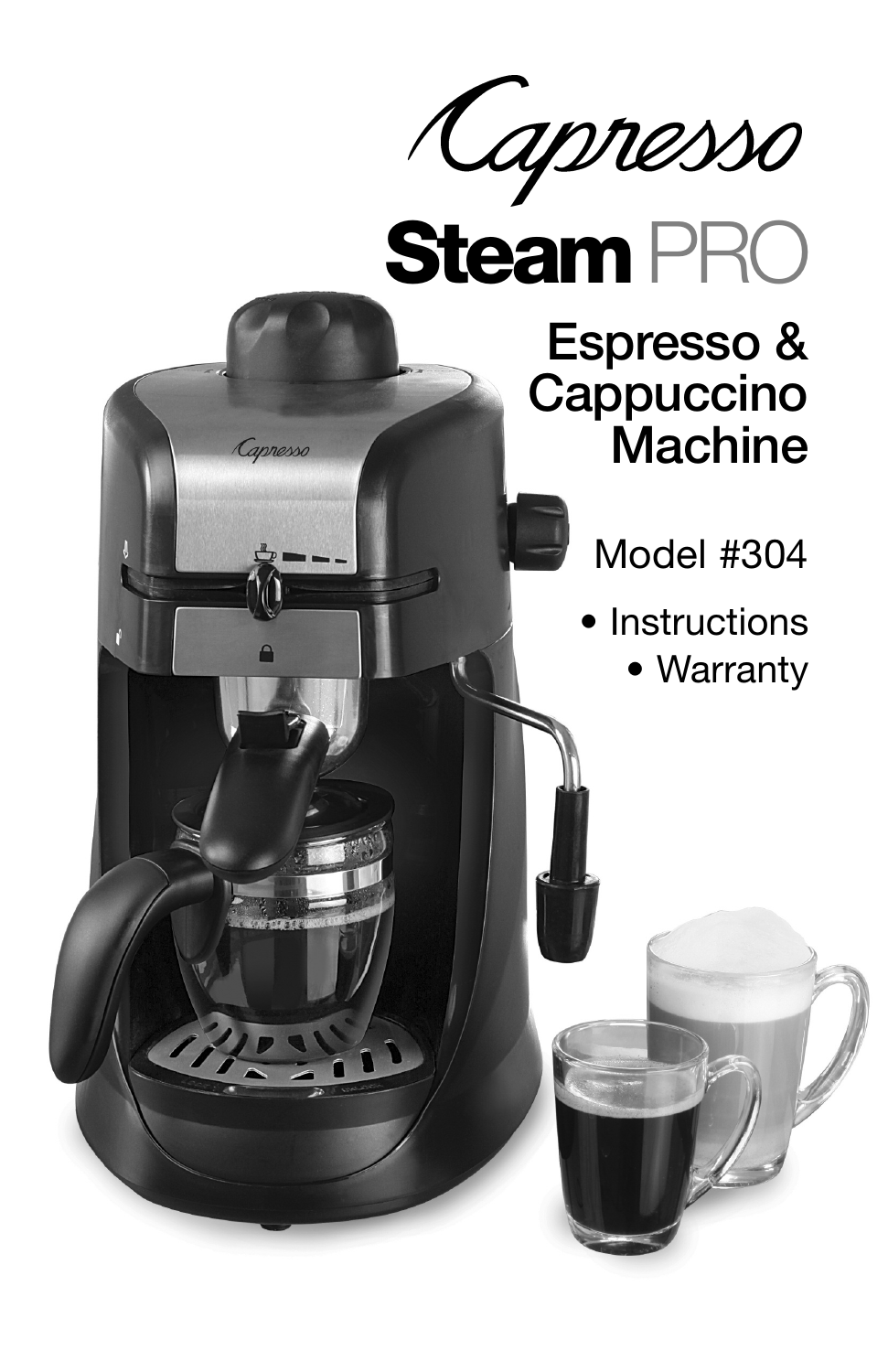

Capresso

## Espresso & **Cappuccino Machine**

- Model #304
- Instructions
	- Warranty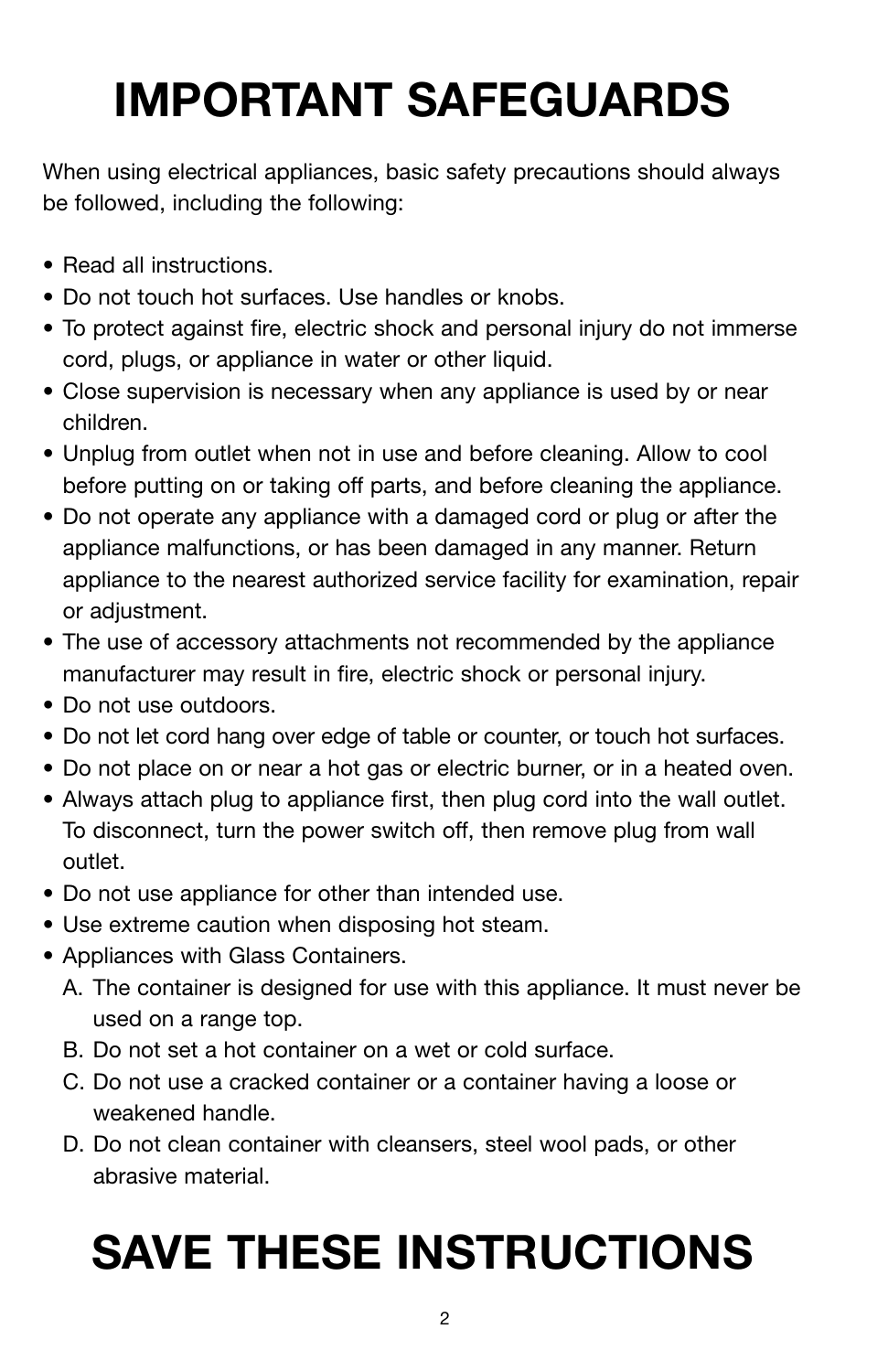## **IMPORTANT SAFEGUARDS**

When using electrical appliances, basic safety precautions should always be followed, including the following:

- Read all instructions.
- Do not touch hot surfaces. Use handles or knobs.
- To protect against fire, electric shock and personal injury do not immerse cord, plugs, or appliance in water or other liquid.
- Close supervision is necessary when any appliance is used by or near children.
- Unplug from outlet when not in use and before cleaning. Allow to cool before putting on or taking off parts, and before cleaning the appliance.
- Do not operate any appliance with a damaged cord or plug or after the appliance malfunctions, or has been damaged in any manner. Return appliance to the nearest authorized service facility for examination, repair or adjustment.
- The use of accessory attachments not recommended by the appliance manufacturer may result in fire, electric shock or personal injury.
- Do not use outdoors.
- Do not let cord hang over edge of table or counter, or touch hot surfaces.
- Do not place on or near a hot gas or electric burner, or in a heated oven.
- Always attach plug to appliance first, then plug cord into the wall outlet. To disconnect, turn the power switch off, then remove plug from wall outlet.
- Do not use appliance for other than intended use.
- Use extreme caution when disposing hot steam.
- Appliances with Glass Containers.
	- A. The container is designed for use with this appliance. It must never be used on a range top.
	- B. Do not set a hot container on a wet or cold surface.
	- C. Do not use a cracked container or a container having a loose or weakened handle.
	- D. Do not clean container with cleansers, steel wool pads, or other abrasive material.

# **SAVE THESE INSTRUCTIONS**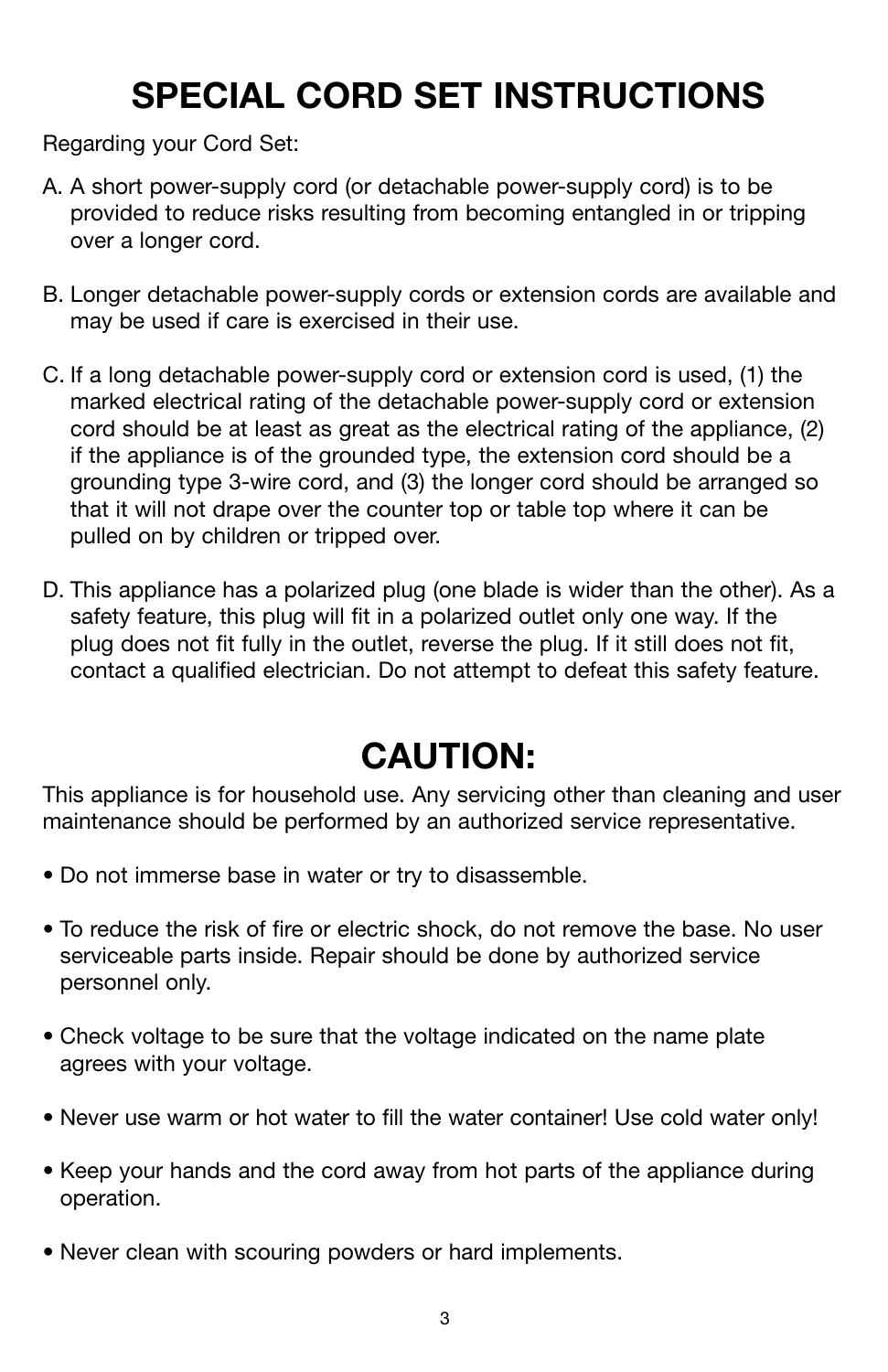### **SPECIAL CORD SET INSTRUCTIONS**

Regarding your Cord Set:

- A. A short power-supply cord (or detachable power-supply cord) is to be provided to reduce risks resulting from becoming entangled in or tripping over a longer cord.
- B. Longer detachable power-supply cords or extension cords are available and may be used if care is exercised in their use.
- C. If a long detachable power-supply cord or extension cord is used, (1) the marked electrical rating of the detachable power-supply cord or extension cord should be at least as great as the electrical rating of the appliance, (2) if the appliance is of the grounded type, the extension cord should be a grounding type 3-wire cord, and (3) the longer cord should be arranged so that it will not drape over the counter top or table top where it can be pulled on by children or tripped over.
- D. This appliance has a polarized plug (one blade is wider than the other). As a safety feature, this plug will fit in a polarized outlet only one way. If the plug does not fit fully in the outlet, reverse the plug. If it still does not fit, contact a qualified electrician. Do not attempt to defeat this safety feature.

### **CAUTION:**

This appliance is for household use. Any servicing other than cleaning and user maintenance should be performed by an authorized service representative.

- Do not immerse base in water or try to disassemble.
- To reduce the risk of fire or electric shock, do not remove the base. No user serviceable parts inside. Repair should be done by authorized service personnel only.
- Check voltage to be sure that the voltage indicated on the name plate agrees with your voltage.
- Never use warm or hot water to fill the water container! Use cold water only!
- Keep your hands and the cord away from hot parts of the appliance during operation.
- Never clean with scouring powders or hard implements.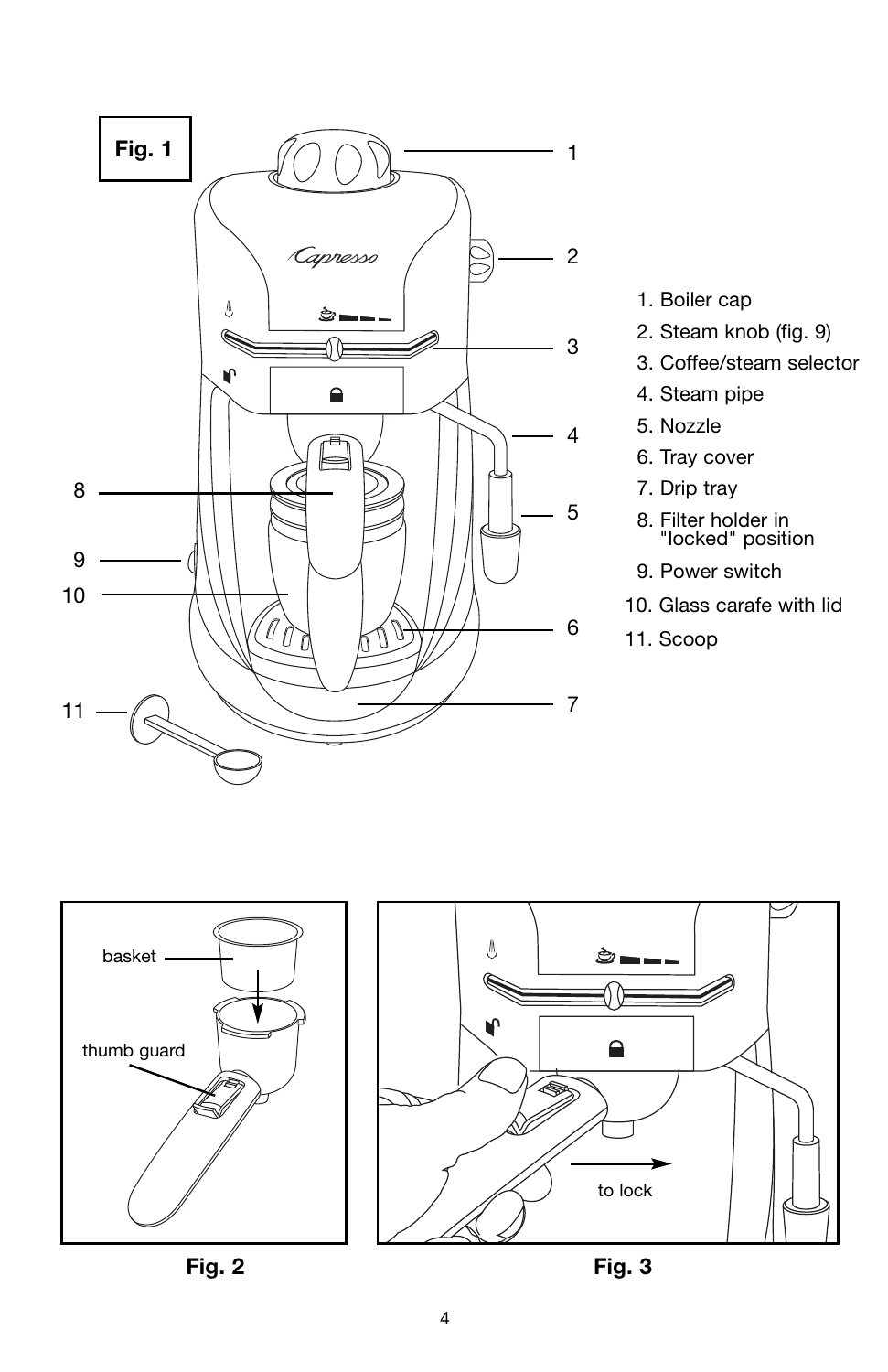

- 1. Boiler cap
- 2. Steam knob (fig. 9)
- 3. Coffee/steam selector
- 4. Steam pipe
- 5. Nozzle
- 6. Tray cover
- 7. Drip tray
- 8. Filter holder in "locked" position
- 9. Power switch
- 10. Glass carafe with lid
- 11. Scoop





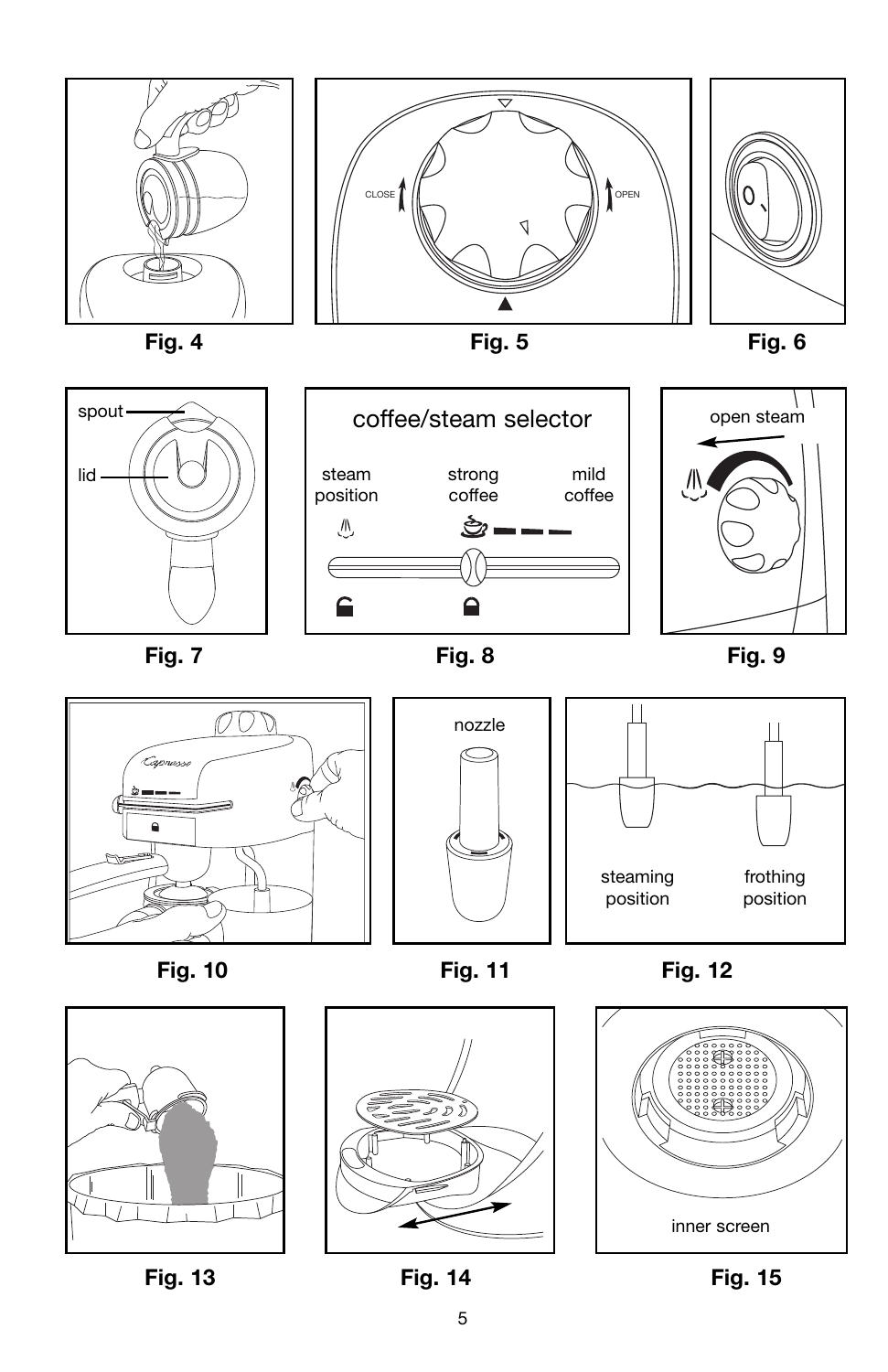



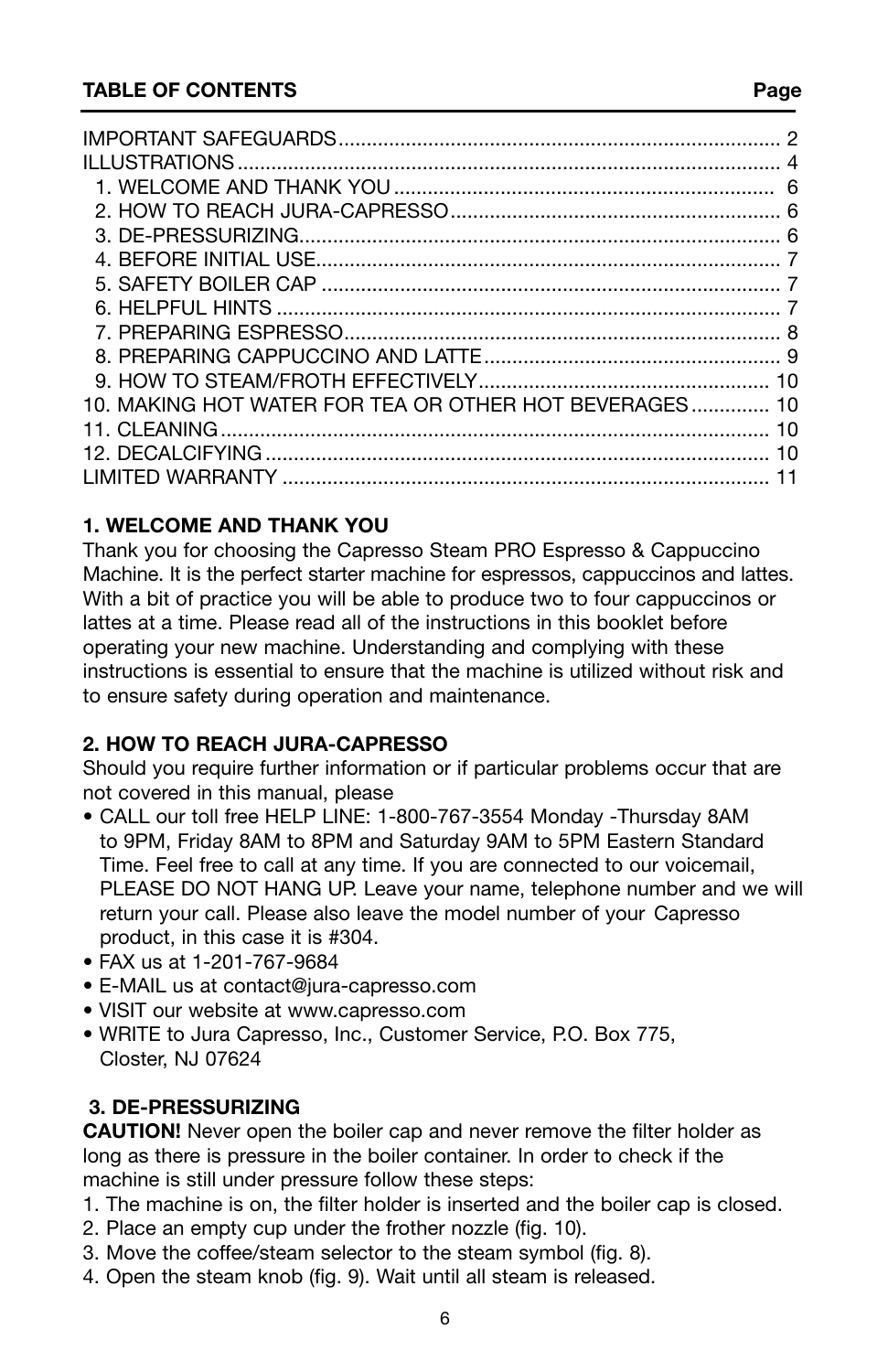| 10. MAKING HOT WATER FOR TEA OR OTHER HOT BEVERAGES 10 |  |
|--------------------------------------------------------|--|
|                                                        |  |
|                                                        |  |
|                                                        |  |
|                                                        |  |

#### **1. WELCOME AND THANK YOU**

Thank you for choosing the Capresso Steam PRO Espresso & Cappuccino Machine. It is the perfect starter machine for espressos, cappuccinos and lattes. With a bit of practice you will be able to produce two to four cappuccinos or lattes at a time. Please read all of the instructions in this booklet before operating your new machine. Understanding and complying with these instructions is essential to ensure that the machine is utilized without risk and to ensure safety during operation and maintenance.

#### **2. HOW TO REACH JURA-CAPRESSO**

Should you require further information or if particular problems occur that are not covered in this manual, please

- CALL our toll free HELP LINE: 1-800-767-3554 Monday -Thursday 8AM to 9PM, Friday 8AM to 8PM and Saturday 9AM to 5PM Eastern Standard Time. Feel free to call at any time. If you are connected to our voicemail, PLEASE DO NOT HANG UP. Leave your name, telephone number and we will return your call. Please also leave the model number of your Capresso product, in this case it is #304.
- FAX us at 1-201-767-9684
- E-MAIL us at contact@jura-capresso.com
- VISIT our website at www.capresso.com
- WRITE to Jura Capresso, Inc., Customer Service, P.O. Box 775, Closter, NJ 07624

#### **3. DE-PRESSURIZING**

**CAUTION!** Never open the boiler cap and never remove the filter holder as long as there is pressure in the boiler container. In order to check if the machine is still under pressure follow these steps:

- 1. The machine is on, the filter holder is inserted and the boiler cap is closed.
- 2. Place an empty cup under the frother nozzle (fig. 10).
- 3. Move the coffee/steam selector to the steam symbol (fig. 8).
- 4. Open the steam knob (fig. 9). Wait until all steam is released.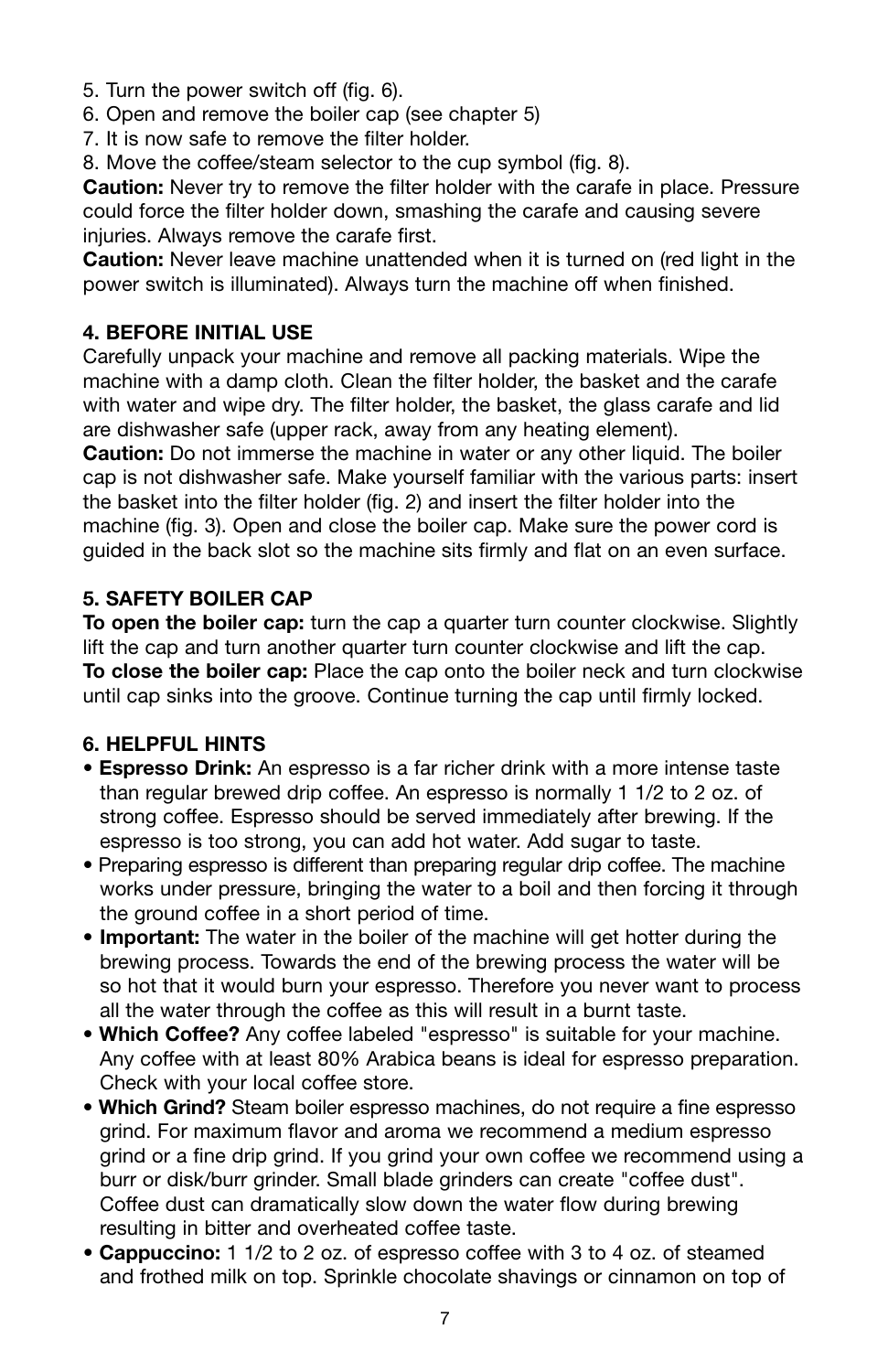- 5. Turn the power switch off (fig. 6).
- 6. Open and remove the boiler cap (see chapter 5)
- 7. It is now safe to remove the filter holder.
- 8. Move the coffee/steam selector to the cup symbol (fig. 8).

**Caution:** Never try to remove the filter holder with the carafe in place. Pressure could force the filter holder down, smashing the carafe and causing severe injuries. Always remove the carafe first.

**Caution:** Never leave machine unattended when it is turned on (red light in the power switch is illuminated). Always turn the machine off when finished.

#### **4. BEFORE INITIAL USE**

Carefully unpack your machine and remove all packing materials. Wipe the machine with a damp cloth. Clean the filter holder, the basket and the carafe with water and wipe dry. The filter holder, the basket, the glass carafe and lid are dishwasher safe (upper rack, away from any heating element).

**Caution:** Do not immerse the machine in water or any other liquid. The boiler cap is not dishwasher safe. Make yourself familiar with the various parts: insert the basket into the filter holder (fig. 2) and insert the filter holder into the machine (fig. 3). Open and close the boiler cap. Make sure the power cord is guided in the back slot so the machine sits firmly and flat on an even surface.

#### **5. SAFETY BOILER CAP**

**To open the boiler cap:** turn the cap a quarter turn counter clockwise. Slightly lift the cap and turn another quarter turn counter clockwise and lift the cap. **To close the boiler cap:** Place the cap onto the boiler neck and turn clockwise until cap sinks into the groove. Continue turning the cap until firmly locked.

#### **6. HELPFUL HINTS**

- **Espresso Drink:** An espresso is a far richer drink with a more intense taste than regular brewed drip coffee. An espresso is normally 1 1/2 to 2 oz. of strong coffee. Espresso should be served immediately after brewing. If the espresso is too strong, you can add hot water. Add sugar to taste.
- Preparing espresso is different than preparing regular drip coffee. The machine works under pressure, bringing the water to a boil and then forcing it through the ground coffee in a short period of time.
- **Important:** The water in the boiler of the machine will get hotter during the brewing process. Towards the end of the brewing process the water will be so hot that it would burn your espresso. Therefore you never want to process all the water through the coffee as this will result in a burnt taste.
- **Which Coffee?** Any coffee labeled "espresso" is suitable for your machine. Any coffee with at least 80% Arabica beans is ideal for espresso preparation. Check with your local coffee store.
- **Which Grind?** Steam boiler espresso machines, do not require a fine espresso grind. For maximum flavor and aroma we recommend a medium espresso grind or a fine drip grind. If you grind your own coffee we recommend using a burr or disk/burr grinder. Small blade grinders can create "coffee dust". Coffee dust can dramatically slow down the water flow during brewing resulting in bitter and overheated coffee taste.
- **Cappuccino:** 1 1/2 to 2 oz. of espresso coffee with 3 to 4 oz. of steamed and frothed milk on top. Sprinkle chocolate shavings or cinnamon on top of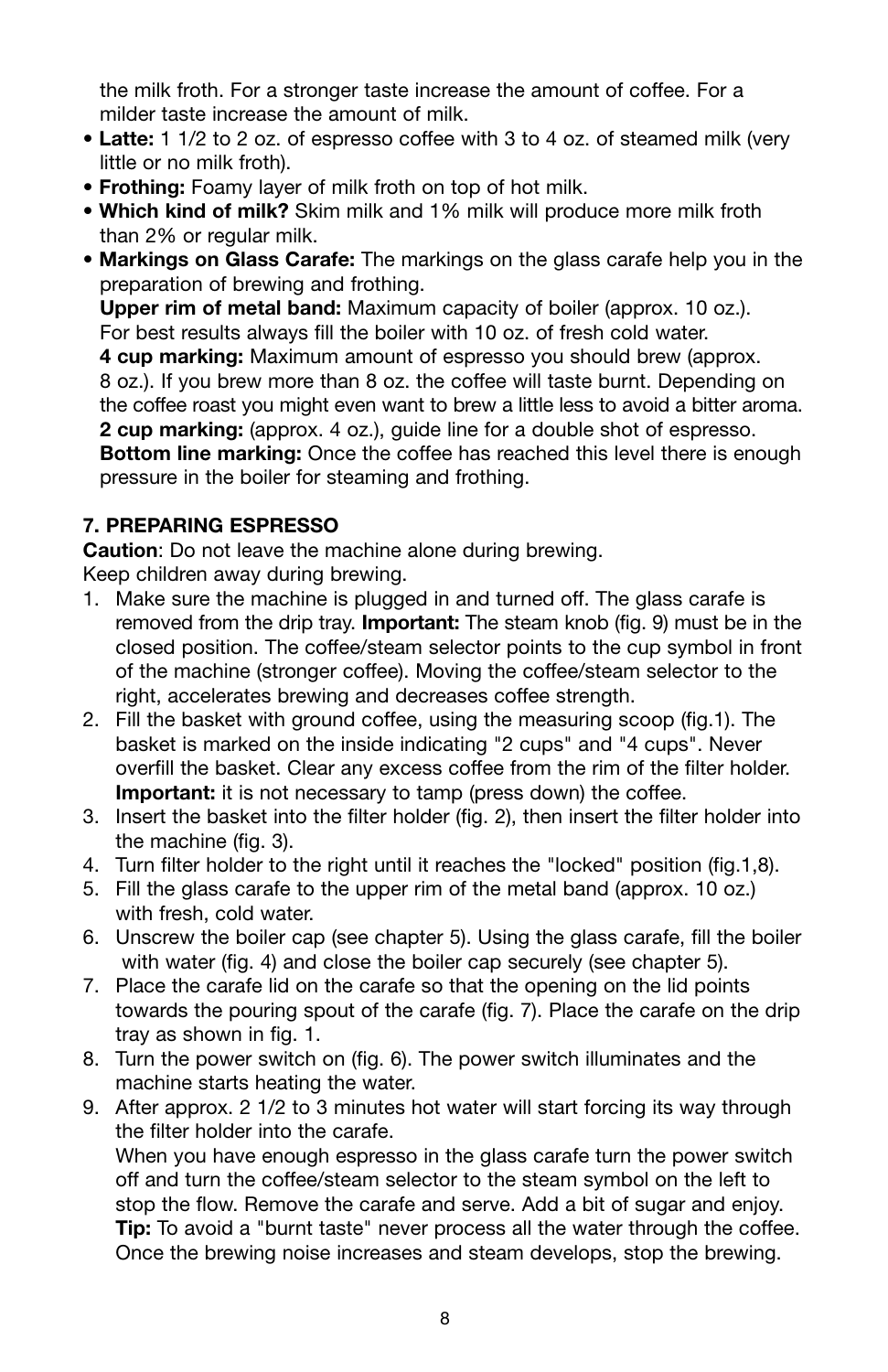the milk froth. For a stronger taste increase the amount of coffee. For a milder taste increase the amount of milk.

- **Latte:** 1 1/2 to 2 oz. of espresso coffee with 3 to 4 oz. of steamed milk (very little or no milk froth).
- **Frothing:** Foamy layer of milk froth on top of hot milk.
- **Which kind of milk?** Skim milk and 1% milk will produce more milk froth than 2% or regular milk.
- **Markings on Glass Carafe:** The markings on the glass carafe help you in the preparation of brewing and frothing.

**Upper rim of metal band:** Maximum capacity of boiler (approx. 10 oz.). For best results always fill the boiler with 10 oz. of fresh cold water.

**4 cup marking:** Maximum amount of espresso you should brew (approx.

8 oz.). If you brew more than 8 oz. the coffee will taste burnt. Depending on the coffee roast you might even want to brew a little less to avoid a bitter aroma. **2 cup marking:** (approx. 4 oz.), guide line for a double shot of espresso.

**Bottom line marking:** Once the coffee has reached this level there is enough pressure in the boiler for steaming and frothing.

#### **7. PREPARING ESPRESSO**

**Caution**: Do not leave the machine alone during brewing.

Keep children away during brewing.

- 1. Make sure the machine is plugged in and turned off. The glass carafe is removed from the drip tray. **Important:** The steam knob (fig. 9) must be in the closed position. The coffee/steam selector points to the cup symbol in front of the machine (stronger coffee). Moving the coffee/steam selector to the right, accelerates brewing and decreases coffee strength.
- 2. Fill the basket with ground coffee, using the measuring scoop (fig.1). The basket is marked on the inside indicating "2 cups" and "4 cups". Never overfill the basket. Clear any excess coffee from the rim of the filter holder. **Important:** it is not necessary to tamp (press down) the coffee.
- 3. Insert the basket into the filter holder (fig. 2), then insert the filter holder into the machine (fig. 3).
- 4. Turn filter holder to the right until it reaches the "locked" position (fig.1,8).
- 5. Fill the glass carafe to the upper rim of the metal band (approx. 10 oz.) with fresh, cold water.
- 6. Unscrew the boiler cap (see chapter 5). Using the glass carafe, fill the boiler with water (fig. 4) and close the boiler cap securely (see chapter 5).
- 7. Place the carafe lid on the carafe so that the opening on the lid points towards the pouring spout of the carafe (fig. 7). Place the carafe on the drip tray as shown in fig. 1.
- 8. Turn the power switch on (fig. 6). The power switch illuminates and the machine starts heating the water.
- 9. After approx. 2 1/2 to 3 minutes hot water will start forcing its way through the filter holder into the carafe. When you have enough espresso in the glass carafe turn the power switch

off and turn the coffee/steam selector to the steam symbol on the left to stop the flow. Remove the carafe and serve. Add a bit of sugar and enjoy. **Tip:** To avoid a "burnt taste" never process all the water through the coffee. Once the brewing noise increases and steam develops, stop the brewing.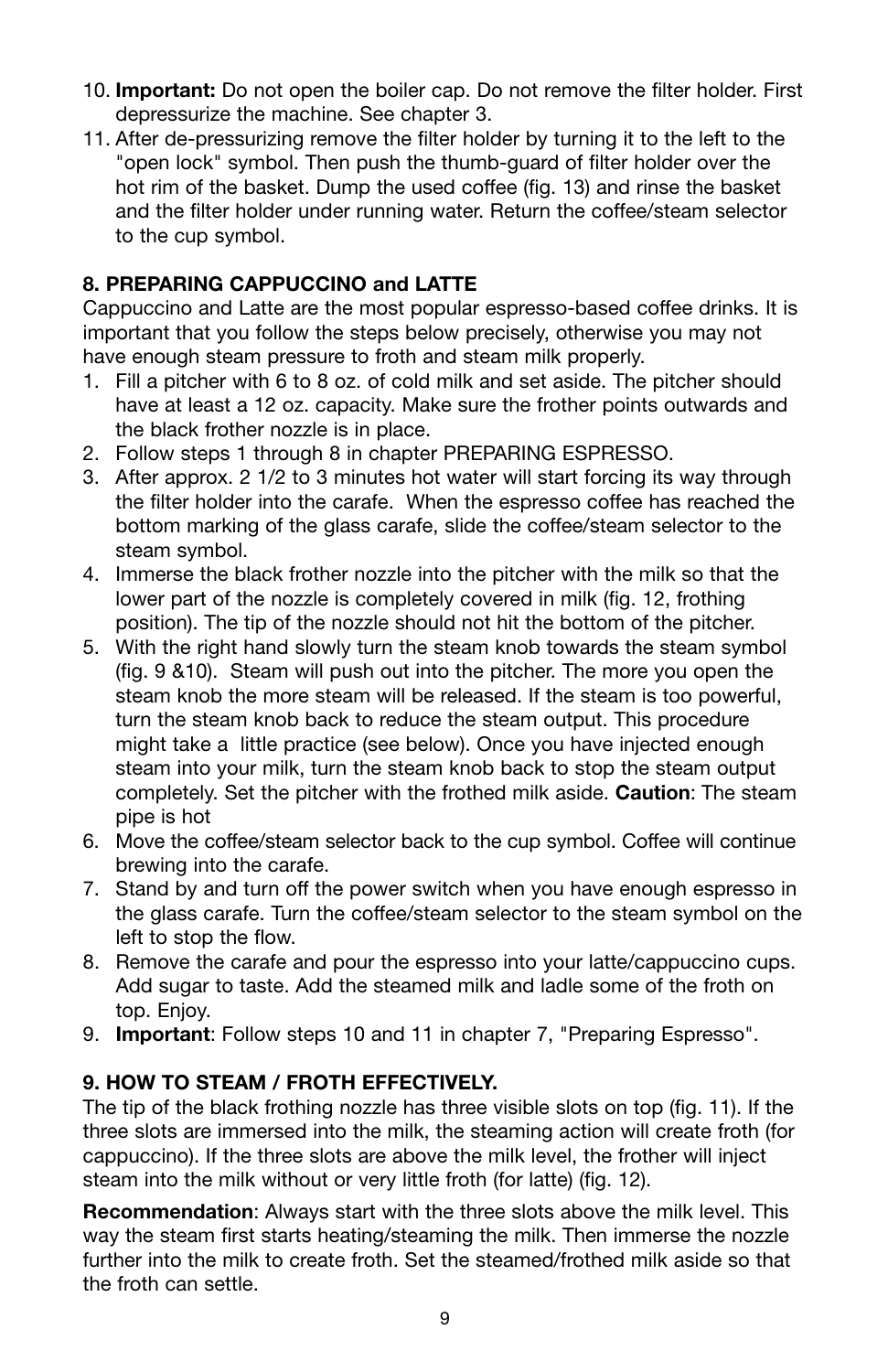- 10. **Important:** Do not open the boiler cap. Do not remove the filter holder. First depressurize the machine. See chapter 3.
- 11. After de-pressurizing remove the filter holder by turning it to the left to the "open lock" symbol. Then push the thumb-guard of filter holder over the hot rim of the basket. Dump the used coffee (fig. 13) and rinse the basket and the filter holder under running water. Return the coffee/steam selector to the cup symbol.

#### **8. PREPARING CAPPUCCINO and LATTE**

Cappuccino and Latte are the most popular espresso-based coffee drinks. It is important that you follow the steps below precisely, otherwise you may not have enough steam pressure to froth and steam milk properly.

- 1. Fill a pitcher with 6 to 8 oz. of cold milk and set aside. The pitcher should have at least a 12 oz. capacity. Make sure the frother points outwards and the black frother nozzle is in place.
- 2. Follow steps 1 through 8 in chapter PREPARING ESPRESSO.
- 3. After approx. 2 1/2 to 3 minutes hot water will start forcing its way through the filter holder into the carafe. When the espresso coffee has reached the bottom marking of the glass carafe, slide the coffee/steam selector to the steam symbol.
- 4. Immerse the black frother nozzle into the pitcher with the milk so that the lower part of the nozzle is completely covered in milk (fig. 12, frothing position). The tip of the nozzle should not hit the bottom of the pitcher.
- 5. With the right hand slowly turn the steam knob towards the steam symbol (fig. 9 &10). Steam will push out into the pitcher. The more you open the steam knob the more steam will be released. If the steam is too powerful, turn the steam knob back to reduce the steam output. This procedure might take a little practice (see below). Once you have injected enough steam into your milk, turn the steam knob back to stop the steam output completely. Set the pitcher with the frothed milk aside. **Caution**: The steam pipe is hot
- 6. Move the coffee/steam selector back to the cup symbol. Coffee will continue brewing into the carafe.
- 7. Stand by and turn off the power switch when you have enough espresso in the glass carafe. Turn the coffee/steam selector to the steam symbol on the left to stop the flow.
- 8. Remove the carafe and pour the espresso into your latte/cappuccino cups. Add sugar to taste. Add the steamed milk and ladle some of the froth on top. Enjoy.
- 9. **Important**: Follow steps 10 and 11 in chapter 7, "Preparing Espresso".

#### **9. HOW TO STEAM / FROTH EFFECTIVELY.**

The tip of the black frothing nozzle has three visible slots on top (fig. 11). If the three slots are immersed into the milk, the steaming action will create froth (for cappuccino). If the three slots are above the milk level, the frother will inject steam into the milk without or very little froth (for latte) (fig. 12).

**Recommendation**: Always start with the three slots above the milk level. This way the steam first starts heating/steaming the milk. Then immerse the nozzle further into the milk to create froth. Set the steamed/frothed milk aside so that the froth can settle.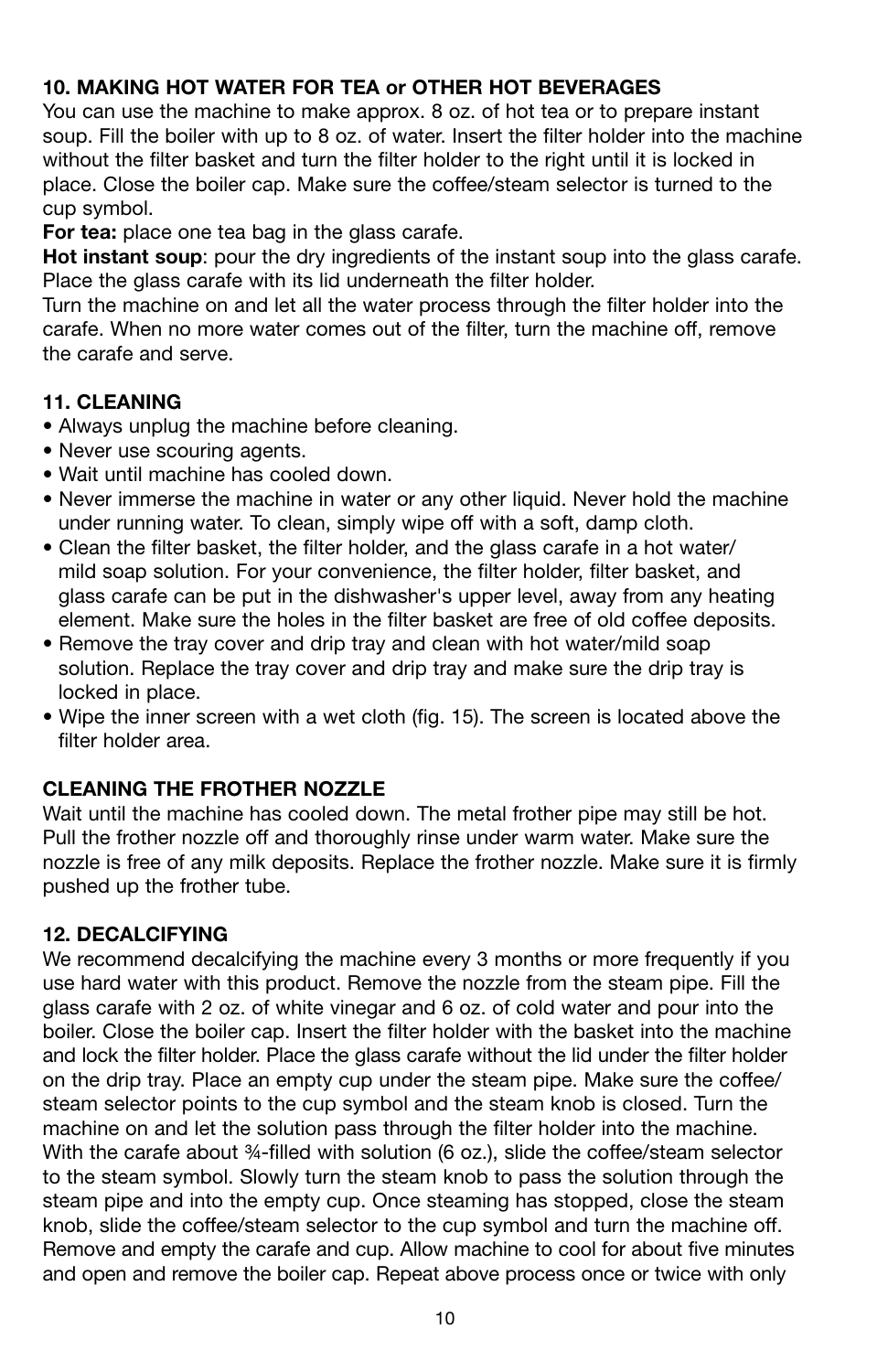#### **10. MAKING HOT WATER FOR TEA or OTHER HOT BEVERAGES**

You can use the machine to make approx. 8 oz. of hot tea or to prepare instant soup. Fill the boiler with up to 8 oz. of water. Insert the filter holder into the machine without the filter basket and turn the filter holder to the right until it is locked in place. Close the boiler cap. Make sure the coffee/steam selector is turned to the cup symbol.

**For tea:** place one tea bag in the glass carafe.

**Hot instant soup**: pour the dry ingredients of the instant soup into the glass carafe. Place the glass carafe with its lid underneath the filter holder.

Turn the machine on and let all the water process through the filter holder into the carafe. When no more water comes out of the filter, turn the machine off, remove the carafe and serve.

#### **11. CLEANING**

- Always unplug the machine before cleaning.
- Never use scouring agents.
- Wait until machine has cooled down.
- Never immerse the machine in water or any other liquid. Never hold the machine under running water. To clean, simply wipe off with a soft, damp cloth.
- Clean the filter basket, the filter holder, and the glass carafe in a hot water/ mild soap solution. For your convenience, the filter holder, filter basket, and glass carafe can be put in the dishwasher's upper level, away from any heating element. Make sure the holes in the filter basket are free of old coffee deposits.
- Remove the tray cover and drip tray and clean with hot water/mild soap solution. Replace the tray cover and drip tray and make sure the drip tray is locked in place.
- Wipe the inner screen with a wet cloth (fig. 15). The screen is located above the filter holder area.

#### **CLEANING THE FROTHER NOZZLE**

Wait until the machine has cooled down. The metal frother pipe may still be hot. Pull the frother nozzle off and thoroughly rinse under warm water. Make sure the nozzle is free of any milk deposits. Replace the frother nozzle. Make sure it is firmly pushed up the frother tube.

#### **12. DECALCIFYING**

We recommend decalcifying the machine every 3 months or more frequently if you use hard water with this product. Remove the nozzle from the steam pipe. Fill the glass carafe with 2 oz. of white vinegar and 6 oz. of cold water and pour into the boiler. Close the boiler cap. Insert the filter holder with the basket into the machine and lock the filter holder. Place the glass carafe without the lid under the filter holder on the drip tray. Place an empty cup under the steam pipe. Make sure the coffee/ steam selector points to the cup symbol and the steam knob is closed. Turn the machine on and let the solution pass through the filter holder into the machine. With the carafe about 34-filled with solution (6 oz.), slide the coffee/steam selector to the steam symbol. Slowly turn the steam knob to pass the solution through the steam pipe and into the empty cup. Once steaming has stopped, close the steam knob, slide the coffee/steam selector to the cup symbol and turn the machine off. Remove and empty the carafe and cup. Allow machine to cool for about five minutes and open and remove the boiler cap. Repeat above process once or twice with only